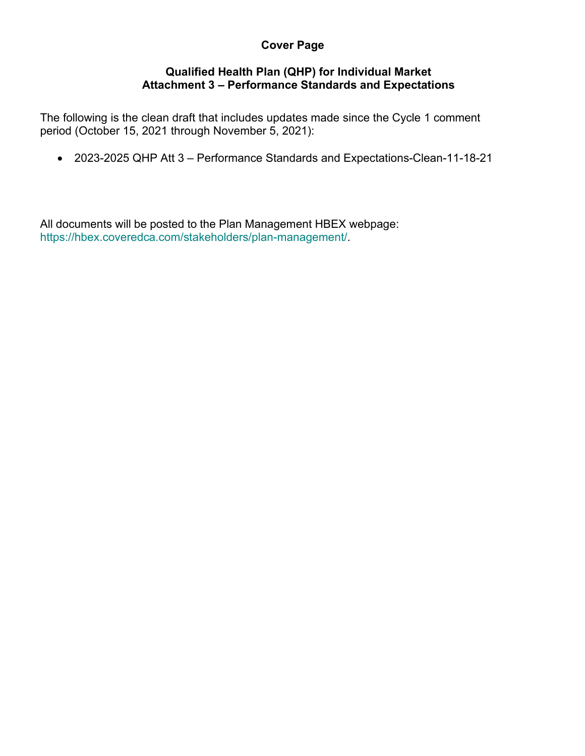# **Cover Page**

## **Qualified Health Plan (QHP) for Individual Market Attachment 3 – Performance Standards and Expectations**

The following is the clean draft that includes updates made since the Cycle 1 comment period (October 15, 2021 through November 5, 2021):

• 2023-2025 QHP Att 3 – Performance Standards and Expectations-Clean-11-18-21

All documents will be posted to the Plan Management HBEX webpage: https://hbex.coveredca.com/stakeholders/plan-management/.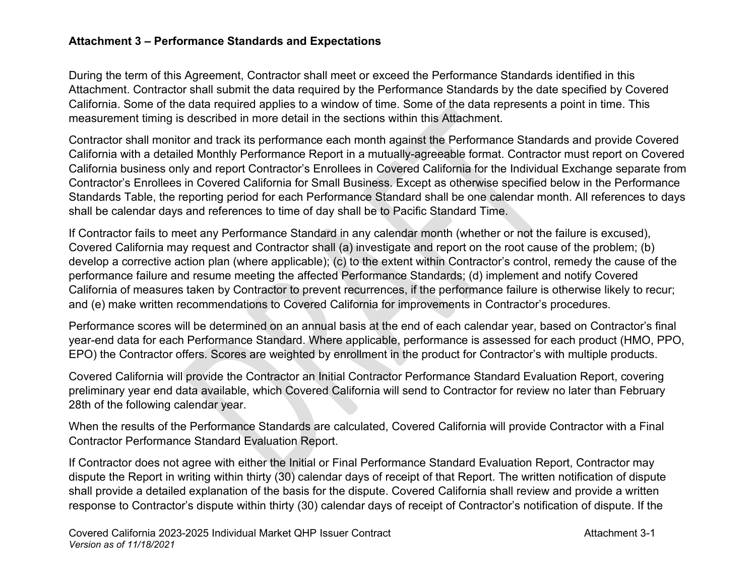## **Attachment 3 – Performance Standards and Expectations**

During the term of this Agreement, Contractor shall meet or exceed the Performance Standards identified in this Attachment. Contractor shall submit the data required by the Performance Standards by the date specified by Covered California. Some of the data required applies to a window of time. Some of the data represents a point in time. This measurement timing is described in more detail in the sections within this Attachment.

Contractor shall monitor and track its performance each month against the Performance Standards and provide Covered California with a detailed Monthly Performance Report in a mutually-agreeable format. Contractor must report on Covered California business only and report Contractor's Enrollees in Covered California for the Individual Exchange separate from Contractor's Enrollees in Covered California for Small Business. Except as otherwise specified below in the Performance Standards Table, the reporting period for each Performance Standard shall be one calendar month. All references to days shall be calendar days and references to time of day shall be to Pacific Standard Time.

If Contractor fails to meet any Performance Standard in any calendar month (whether or not the failure is excused), Covered California may request and Contractor shall (a) investigate and report on the root cause of the problem; (b) develop a corrective action plan (where applicable); (c) to the extent within Contractor's control, remedy the cause of the performance failure and resume meeting the affected Performance Standards; (d) implement and notify Covered California of measures taken by Contractor to prevent recurrences, if the performance failure is otherwise likely to recur; and (e) make written recommendations to Covered California for improvements in Contractor's procedures.

Performance scores will be determined on an annual basis at the end of each calendar year, based on Contractor's final year-end data for each Performance Standard. Where applicable, performance is assessed for each product (HMO, PPO, EPO) the Contractor offers. Scores are weighted by enrollment in the product for Contractor's with multiple products.

Covered California will provide the Contractor an Initial Contractor Performance Standard Evaluation Report, covering preliminary year end data available, which Covered California will send to Contractor for review no later than February 28th of the following calendar year.

When the results of the Performance Standards are calculated, Covered California will provide Contractor with a Final Contractor Performance Standard Evaluation Report.

If Contractor does not agree with either the Initial or Final Performance Standard Evaluation Report, Contractor may dispute the Report in writing within thirty (30) calendar days of receipt of that Report. The written notification of dispute shall provide a detailed explanation of the basis for the dispute. Covered California shall review and provide a written response to Contractor's dispute within thirty (30) calendar days of receipt of Contractor's notification of dispute. If the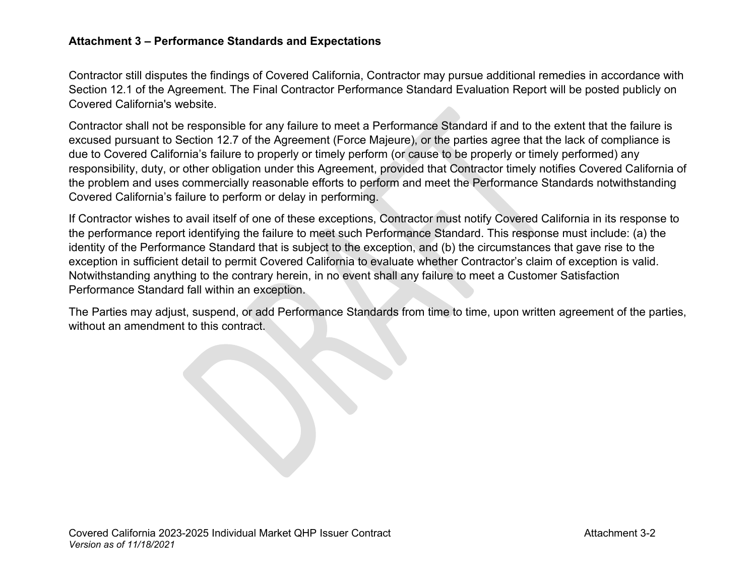#### **Attachment 3 – Performance Standards and Expectations**

Contractor still disputes the findings of Covered California, Contractor may pursue additional remedies in accordance with Section 12.1 of the Agreement. The Final Contractor Performance Standard Evaluation Report will be posted publicly on Covered California's website.

Contractor shall not be responsible for any failure to meet a Performance Standard if and to the extent that the failure is excused pursuant to Section 12.7 of the Agreement (Force Majeure), or the parties agree that the lack of compliance is due to Covered California's failure to properly or timely perform (or cause to be properly or timely performed) any responsibility, duty, or other obligation under this Agreement, provided that Contractor timely notifies Covered California of the problem and uses commercially reasonable efforts to perform and meet the Performance Standards notwithstanding Covered California's failure to perform or delay in performing.

If Contractor wishes to avail itself of one of these exceptions, Contractor must notify Covered California in its response to the performance report identifying the failure to meet such Performance Standard. This response must include: (a) the identity of the Performance Standard that is subject to the exception, and (b) the circumstances that gave rise to the exception in sufficient detail to permit Covered California to evaluate whether Contractor's claim of exception is valid. Notwithstanding anything to the contrary herein, in no event shall any failure to meet a Customer Satisfaction Performance Standard fall within an exception.

The Parties may adjust, suspend, or add Performance Standards from time to time, upon written agreement of the parties, without an amendment to this contract.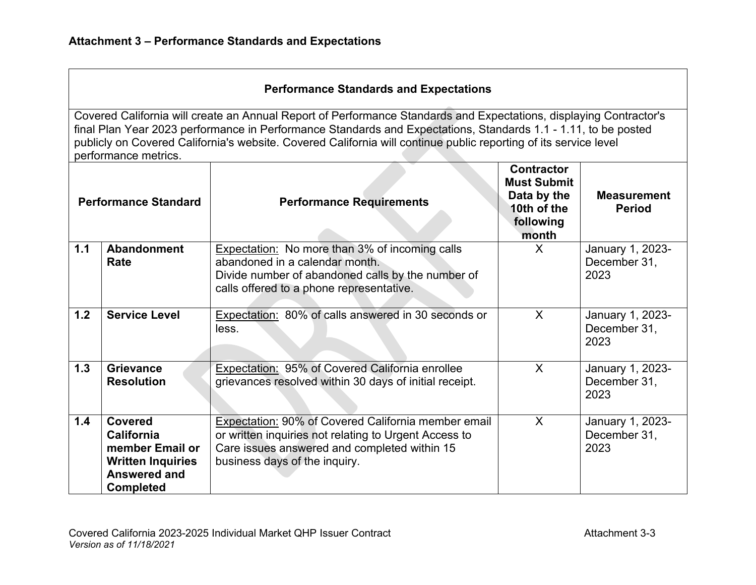## **Performance Standards and Expectations**

| <b>Performance Standard</b> |                                                                                                                               | <b>Performance Requirements</b>                                                                                                                                                               | <b>Contractor</b><br><b>Must Submit</b><br>Data by the<br>10th of the<br>following<br>month | <b>Measurement</b><br><b>Period</b>      |
|-----------------------------|-------------------------------------------------------------------------------------------------------------------------------|-----------------------------------------------------------------------------------------------------------------------------------------------------------------------------------------------|---------------------------------------------------------------------------------------------|------------------------------------------|
| 1.1                         | <b>Abandonment</b><br>Rate                                                                                                    | <b>Expectation:</b> No more than 3% of incoming calls<br>abandoned in a calendar month.<br>Divide number of abandoned calls by the number of<br>calls offered to a phone representative.      | X                                                                                           | January 1, 2023-<br>December 31,<br>2023 |
| 1.2                         | <b>Service Level</b>                                                                                                          | Expectation: 80% of calls answered in 30 seconds or<br>less.                                                                                                                                  | X                                                                                           | January 1, 2023-<br>December 31,<br>2023 |
| 1.3                         | <b>Grievance</b><br><b>Resolution</b>                                                                                         | Expectation: 95% of Covered California enrollee<br>grievances resolved within 30 days of initial receipt.                                                                                     | X                                                                                           | January 1, 2023-<br>December 31,<br>2023 |
| 1.4                         | <b>Covered</b><br><b>California</b><br>member Email or<br><b>Written Inquiries</b><br><b>Answered and</b><br><b>Completed</b> | Expectation: 90% of Covered California member email<br>or written inquiries not relating to Urgent Access to<br>Care issues answered and completed within 15<br>business days of the inquiry. | X                                                                                           | January 1, 2023-<br>December 31,<br>2023 |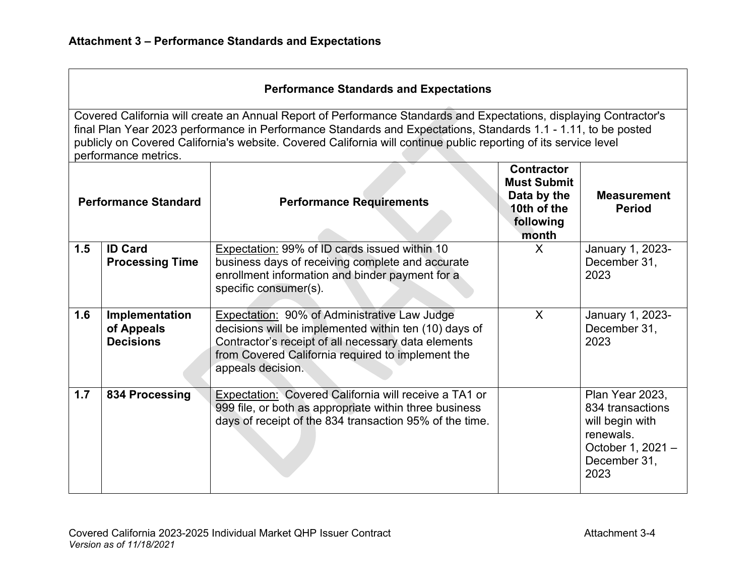| <b>Performance Standard</b> |                                                  | <b>Performance Requirements</b>                                                                                                                                                                                                        | <b>Contractor</b><br><b>Must Submit</b><br>Data by the<br>10th of the<br>following<br>month | <b>Measurement</b><br><b>Period</b>                                                                              |
|-----------------------------|--------------------------------------------------|----------------------------------------------------------------------------------------------------------------------------------------------------------------------------------------------------------------------------------------|---------------------------------------------------------------------------------------------|------------------------------------------------------------------------------------------------------------------|
| 1.5                         | <b>ID Card</b>                                   | Expectation: 99% of ID cards issued within 10                                                                                                                                                                                          | X                                                                                           | January 1, 2023-                                                                                                 |
|                             | <b>Processing Time</b>                           | business days of receiving complete and accurate<br>enrollment information and binder payment for a                                                                                                                                    |                                                                                             | December 31,<br>2023                                                                                             |
|                             |                                                  | specific consumer(s).                                                                                                                                                                                                                  |                                                                                             |                                                                                                                  |
| 1.6                         | Implementation<br>of Appeals<br><b>Decisions</b> | Expectation: 90% of Administrative Law Judge<br>decisions will be implemented within ten (10) days of<br>Contractor's receipt of all necessary data elements<br>from Covered California required to implement the<br>appeals decision. | $\sf X$                                                                                     | January 1, 2023-<br>December 31,<br>2023                                                                         |
| 1.7                         | 834 Processing                                   | Expectation: Covered California will receive a TA1 or<br>999 file, or both as appropriate within three business<br>days of receipt of the 834 transaction 95% of the time.                                                             |                                                                                             | Plan Year 2023,<br>834 transactions<br>will begin with<br>renewals.<br>October 1, 2021 -<br>December 31,<br>2023 |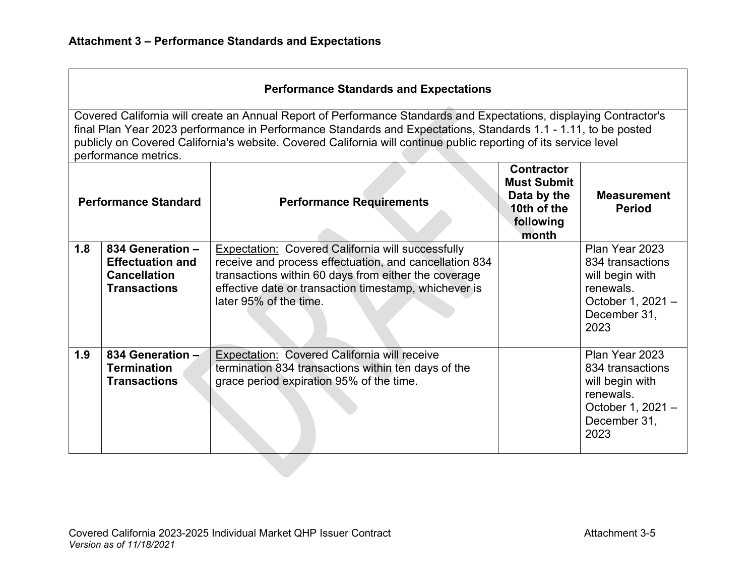| <b>Performance Standard</b> |                                                                                           | <b>Performance Requirements</b>                                                                                                                                                                                                                        | <b>Contractor</b><br><b>Must Submit</b><br>Data by the<br>10th of the<br>following<br>month | <b>Measurement</b><br><b>Period</b>                                                                             |
|-----------------------------|-------------------------------------------------------------------------------------------|--------------------------------------------------------------------------------------------------------------------------------------------------------------------------------------------------------------------------------------------------------|---------------------------------------------------------------------------------------------|-----------------------------------------------------------------------------------------------------------------|
| 1.8                         | 834 Generation -<br><b>Effectuation and</b><br><b>Cancellation</b><br><b>Transactions</b> | Expectation: Covered California will successfully<br>receive and process effectuation, and cancellation 834<br>transactions within 60 days from either the coverage<br>effective date or transaction timestamp, whichever is<br>later 95% of the time. |                                                                                             | Plan Year 2023<br>834 transactions<br>will begin with<br>renewals.<br>October 1, 2021 -<br>December 31,<br>2023 |
| 1.9                         | 834 Generation -<br><b>Termination</b><br><b>Transactions</b>                             | Expectation: Covered California will receive<br>termination 834 transactions within ten days of the<br>grace period expiration 95% of the time.                                                                                                        |                                                                                             | Plan Year 2023<br>834 transactions<br>will begin with<br>renewals.<br>October 1, 2021 -<br>December 31,<br>2023 |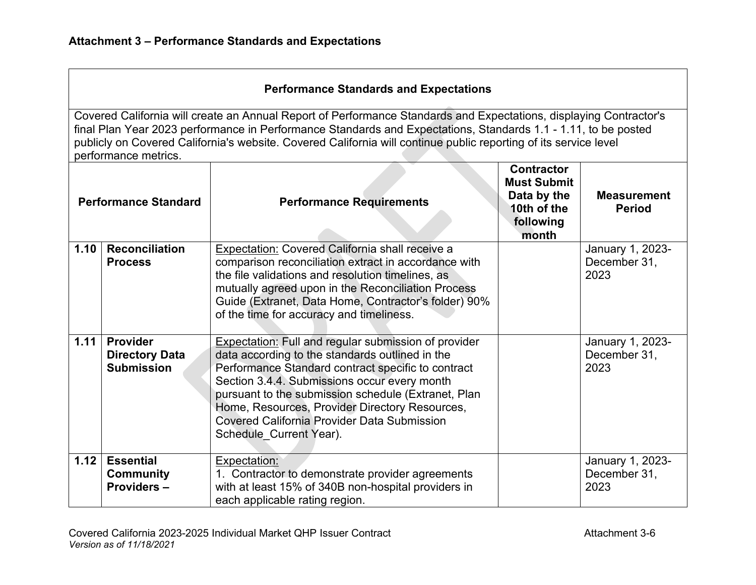## **Performance Standards and Expectations**

| <b>Performance Standard</b> |                                                               | <b>Performance Requirements</b>                                                                                                                                                                                                                                                                                                                                                                         | <b>Contractor</b><br><b>Must Submit</b><br>Data by the<br>10th of the<br>following<br>month | <b>Measurement</b><br><b>Period</b>      |
|-----------------------------|---------------------------------------------------------------|---------------------------------------------------------------------------------------------------------------------------------------------------------------------------------------------------------------------------------------------------------------------------------------------------------------------------------------------------------------------------------------------------------|---------------------------------------------------------------------------------------------|------------------------------------------|
| 1.10                        | <b>Reconciliation</b><br><b>Process</b>                       | Expectation: Covered California shall receive a<br>comparison reconciliation extract in accordance with                                                                                                                                                                                                                                                                                                 |                                                                                             | January 1, 2023-<br>December 31,         |
|                             |                                                               | the file validations and resolution timelines, as<br>mutually agreed upon in the Reconciliation Process                                                                                                                                                                                                                                                                                                 |                                                                                             | 2023                                     |
|                             |                                                               | Guide (Extranet, Data Home, Contractor's folder) 90%<br>of the time for accuracy and timeliness.                                                                                                                                                                                                                                                                                                        |                                                                                             |                                          |
| 1.11                        | <b>Provider</b><br><b>Directory Data</b><br><b>Submission</b> | <b>Expectation:</b> Full and regular submission of provider<br>data according to the standards outlined in the<br>Performance Standard contract specific to contract<br>Section 3.4.4. Submissions occur every month<br>pursuant to the submission schedule (Extranet, Plan<br>Home, Resources, Provider Directory Resources,<br>Covered California Provider Data Submission<br>Schedule_Current Year). |                                                                                             | January 1, 2023-<br>December 31,<br>2023 |
| 1.12                        | <b>Essential</b><br><b>Community</b><br><b>Providers-</b>     | Expectation:<br>1. Contractor to demonstrate provider agreements<br>with at least 15% of 340B non-hospital providers in<br>each applicable rating region.                                                                                                                                                                                                                                               |                                                                                             | January 1, 2023-<br>December 31,<br>2023 |